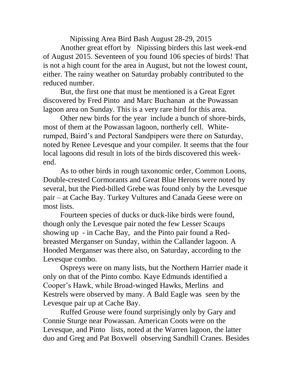Nipissing Area Bird Bash August 28-29, 2015

Another great effort by Nipissing birders this last week-end of August 2015. Seventeen of you found 106 species of birds! That is not a high count for the area in August, but not the lowest count, either. The rainy weather on Saturday probably contributed to the reduced number.

But, the first one that must be mentioned is a Great Egret discovered by Fred Pinto and Marc Buchanan at the Powassan lagoon area on Sunday. This is a very rare bird for this area.

Other new birds for the year include a bunch of shore-birds, most of them at the Powassan lagoon, northerly cell. Whiterumped, Baird's and Pectoral Sandpipers were there on Saturday, noted by Renee Levesque and your compiler. It seems that the four local lagoons did result in lots of the birds discovered this weekend.

As to other birds in rough taxonomic order, Common Loons, Double-crested Cormorants and Great Blue Herons were noted by several, but the Pied-billed Grebe was found only by the Levesque pair – at Cache Bay. Turkey Vultures and Canada Geese were on most lists.

Fourteen species of ducks or duck-like birds were found, though only the Levesque pair noted the few Lesser Scaups showing up - in Cache Bay, and the Pinto pair found a Redbreasted Merganser on Sunday, within the Callander lagoon. A Hooded Merganser was there also, on Saturday, according to the Levesque combo.

Ospreys were on many lists, but the Northern Harrier made it only on that of the Pinto combo. Kaye Edmunds identified a Cooper's Hawk, while Broad-winged Hawks, Merlins and Kestrels were observed by many. A Bald Eagle was seen by the Levesque pair up at Cache Bay.

Ruffed Grouse were found surprisingly only by Gary and Connie Sturge near Powassan. American Coots were on the Levesque, and Pinto lists, noted at the Warren lagoon, the latter duo and Greg and Pat Boxwell observing Sandhill Cranes. Besides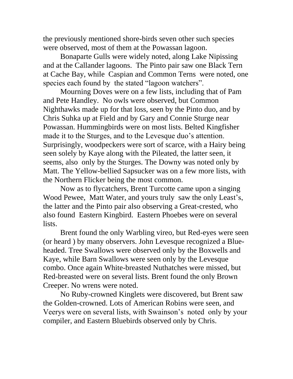the previously mentioned shore-birds seven other such species were observed, most of them at the Powassan lagoon.

Bonaparte Gulls were widely noted, along Lake Nipissing and at the Callander lagoons. The Pinto pair saw one Black Tern at Cache Bay, while Caspian and Common Terns were noted, one species each found by the stated "lagoon watchers".

Mourning Doves were on a few lists, including that of Pam and Pete Handley. No owls were observed, but Common Nighthawks made up for that loss, seen by the Pinto duo, and by Chris Suhka up at Field and by Gary and Connie Sturge near Powassan. Hummingbirds were on most lists. Belted Kingfisher made it to the Sturges, and to the Levesque duo's attention. Surprisingly, woodpeckers were sort of scarce, with a Hairy being seen solely by Kaye along with the Pileated, the latter seen, it seems, also only by the Sturges. The Downy was noted only by Matt. The Yellow-bellied Sapsucker was on a few more lists, with the Northern Flicker being the most common.

Now as to flycatchers, Brent Turcotte came upon a singing Wood Pewee, Matt Water, and yours truly saw the only Least's, the latter and the Pinto pair also observing a Great-crested, who also found Eastern Kingbird. Eastern Phoebes were on several lists.

Brent found the only Warbling vireo, but Red-eyes were seen (or heard ) by many observers. John Levesque recognized a Blueheaded. Tree Swallows were observed only by the Boxwells and Kaye, while Barn Swallows were seen only by the Levesque combo. Once again White-breasted Nuthatches were missed, but Red-breasted were on several lists. Brent found the only Brown Creeper. No wrens were noted.

No Ruby-crowned Kinglets were discovered, but Brent saw the Golden-crowned. Lots of American Robins were seen, and Veerys were on several lists, with Swainson's noted only by your compiler, and Eastern Bluebirds observed only by Chris.